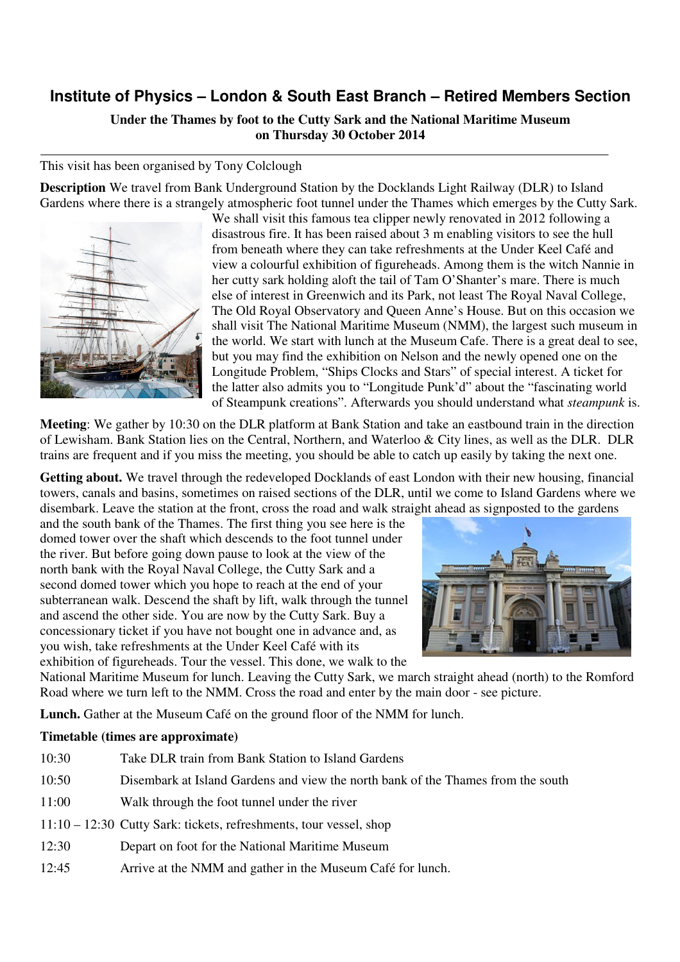## **Institute of Physics – London & South East Branch – Retired Members Section**

## **Under the Thames by foot to the Cutty Sark and the National Maritime Museum on Thursday 30 October 2014**

## This visit has been organised by Tony Colclough

**Description** We travel from Bank Underground Station by the Docklands Light Railway (DLR) to Island Gardens where there is a strangely atmospheric foot tunnel under the Thames which emerges by the Cutty Sark.



We shall visit this famous tea clipper newly renovated in 2012 following a disastrous fire. It has been raised about 3 m enabling visitors to see the hull from beneath where they can take refreshments at the Under Keel Café and view a colourful exhibition of figureheads. Among them is the witch Nannie in her cutty sark holding aloft the tail of Tam O'Shanter's mare. There is much else of interest in Greenwich and its Park, not least The Royal Naval College, The Old Royal Observatory and Queen Anne's House. But on this occasion we shall visit The National Maritime Museum (NMM), the largest such museum in the world. We start with lunch at the Museum Cafe. There is a great deal to see, but you may find the exhibition on Nelson and the newly opened one on the Longitude Problem, "Ships Clocks and Stars" of special interest. A ticket for the latter also admits you to "Longitude Punk'd" about the "fascinating world of Steampunk creations". Afterwards you should understand what *steampunk* is.

**Meeting**: We gather by 10:30 on the DLR platform at Bank Station and take an eastbound train in the direction of Lewisham. Bank Station lies on the Central, Northern, and Waterloo & City lines, as well as the DLR. DLR trains are frequent and if you miss the meeting, you should be able to catch up easily by taking the next one.

**Getting about.** We travel through the redeveloped Docklands of east London with their new housing, financial towers, canals and basins, sometimes on raised sections of the DLR, until we come to Island Gardens where we disembark. Leave the station at the front, cross the road and walk straight ahead as signposted to the gardens

and the south bank of the Thames. The first thing you see here is the domed tower over the shaft which descends to the foot tunnel under the river. But before going down pause to look at the view of the north bank with the Royal Naval College, the Cutty Sark and a second domed tower which you hope to reach at the end of your subterranean walk. Descend the shaft by lift, walk through the tunnel and ascend the other side. You are now by the Cutty Sark. Buy a concessionary ticket if you have not bought one in advance and, as you wish, take refreshments at the Under Keel Café with its exhibition of figureheads. Tour the vessel. This done, we walk to the



National Maritime Museum for lunch. Leaving the Cutty Sark, we march straight ahead (north) to the Romford Road where we turn left to the NMM. Cross the road and enter by the main door - see picture.

**Lunch.** Gather at the Museum Café on the ground floor of the NMM for lunch.

## **Timetable (times are approximate)**

| 10:30 | Take DLR train from Bank Station to Island Gardens                               |
|-------|----------------------------------------------------------------------------------|
| 10:50 | Disembark at Island Gardens and view the north bank of the Thames from the south |
| 11:00 | Walk through the foot tunnel under the river                                     |
|       | $11:10 - 12:30$ Cutty Sark: tickets, refreshments, tour vessel, shop             |
| 12:30 | Depart on foot for the National Maritime Museum                                  |
| 12:45 | Arrive at the NMM and gather in the Museum Café for lunch.                       |